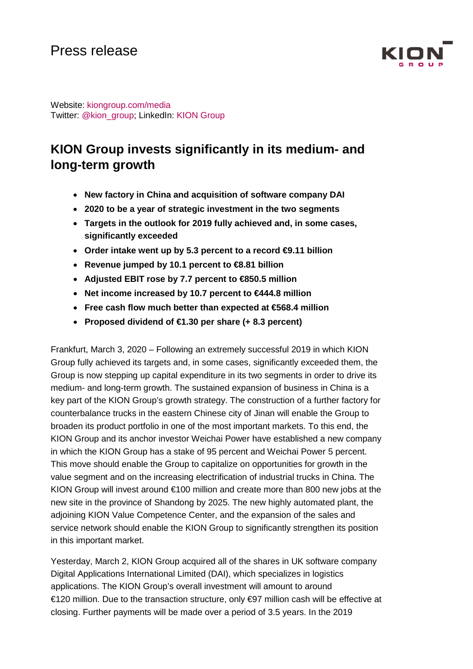

Website: kiongroup.com/media Twitter: [@kion\\_group;](https://twitter.com/kion_group) LinkedIn: KION Group

# **KION Group invests significantly in its medium- and long-term growth**

- **New factory in China and acquisition of software company DAI**
- **2020 to be a year of strategic investment in the two segments**
- **Targets in the outlook for 2019 fully achieved and, in some cases, significantly exceeded**
- **Order intake went up by 5.3 percent to a record €9.11 billion**
- **Revenue jumped by 10.1 percent to €8.81 billion**
- **Adjusted EBIT rose by 7.7 percent to €850.5 million**
- **Net income increased by 10.7 percent to €444.8 million**
- **Free cash flow much better than expected at €568.4 million**
- **Proposed dividend of €1.30 per share (+ 8.3 percent)**

Frankfurt, March 3, 2020 – Following an extremely successful 2019 in which KION Group fully achieved its targets and, in some cases, significantly exceeded them, the Group is now stepping up capital expenditure in its two segments in order to drive its medium- and long-term growth. The sustained expansion of business in China is a key part of the KION Group's growth strategy. The construction of a further factory for counterbalance trucks in the eastern Chinese city of Jinan will enable the Group to broaden its product portfolio in one of the most important markets. To this end, the KION Group and its anchor investor Weichai Power have established a new company in which the KION Group has a stake of 95 percent and Weichai Power 5 percent. This move should enable the Group to capitalize on opportunities for growth in the value segment and on the increasing electrification of industrial trucks in China. The KION Group will invest around €100 million and create more than 800 new jobs at the new site in the province of Shandong by 2025. The new highly automated plant, the adjoining KION Value Competence Center, and the expansion of the sales and service network should enable the KION Group to significantly strengthen its position in this important market.

Yesterday, March 2, KION Group acquired all of the shares in UK software company Digital Applications International Limited (DAI), which specializes in logistics applications. The KION Group's overall investment will amount to around €120 million. Due to the transaction structure, only €97 million cash will be effective at closing. Further payments will be made over a period of 3.5 years. In the 2019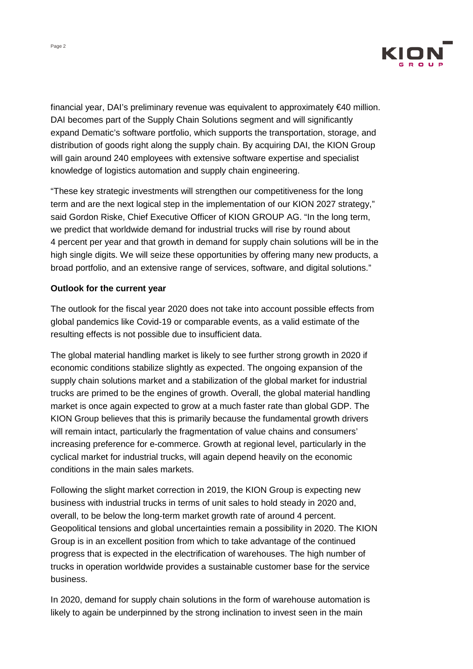

financial year, DAI's preliminary revenue was equivalent to approximately  $\epsilon$ 40 million. DAI becomes part of the Supply Chain Solutions segment and will significantly expand Dematic's software portfolio, which supports the transportation, storage, and distribution of goods right along the supply chain. By acquiring DAI, the KION Group will gain around 240 employees with extensive software expertise and specialist knowledge of logistics automation and supply chain engineering.

"These key strategic investments will strengthen our competitiveness for the long term and are the next logical step in the implementation of our KION 2027 strategy," said Gordon Riske, Chief Executive Officer of KION GROUP AG. "In the long term, we predict that worldwide demand for industrial trucks will rise by round about 4 percent per year and that growth in demand for supply chain solutions will be in the high single digits. We will seize these opportunities by offering many new products, a broad portfolio, and an extensive range of services, software, and digital solutions."

### **Outlook for the current year**

The outlook for the fiscal year 2020 does not take into account possible effects from global pandemics like Covid-19 or comparable events, as a valid estimate of the resulting effects is not possible due to insufficient data.

The global material handling market is likely to see further strong growth in 2020 if economic conditions stabilize slightly as expected. The ongoing expansion of the supply chain solutions market and a stabilization of the global market for industrial trucks are primed to be the engines of growth. Overall, the global material handling market is once again expected to grow at a much faster rate than global GDP. The KION Group believes that this is primarily because the fundamental growth drivers will remain intact, particularly the fragmentation of value chains and consumers' increasing preference for e-commerce. Growth at regional level, particularly in the cyclical market for industrial trucks, will again depend heavily on the economic conditions in the main sales markets.

Following the slight market correction in 2019, the KION Group is expecting new business with industrial trucks in terms of unit sales to hold steady in 2020 and, overall, to be below the long-term market growth rate of around 4 percent. Geopolitical tensions and global uncertainties remain a possibility in 2020. The KION Group is in an excellent position from which to take advantage of the continued progress that is expected in the electrification of warehouses. The high number of trucks in operation worldwide provides a sustainable customer base for the service business.

In 2020, demand for supply chain solutions in the form of warehouse automation is likely to again be underpinned by the strong inclination to invest seen in the main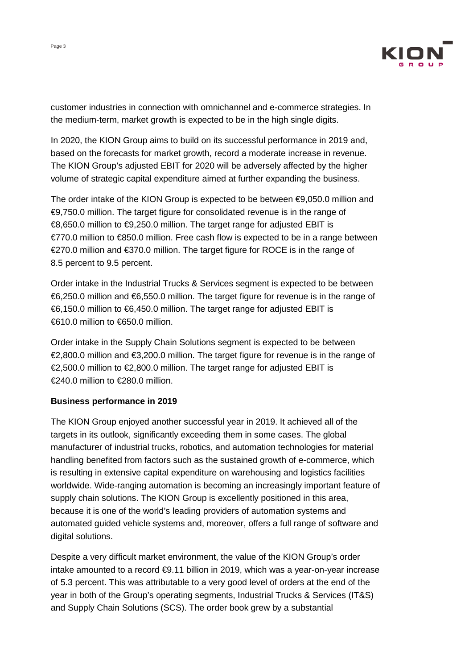

customer industries in connection with omnichannel and e-commerce strategies. In the medium-term, market growth is expected to be in the high single digits.

In 2020, the KION Group aims to build on its successful performance in 2019 and, based on the forecasts for market growth, record a moderate increase in revenue. The KION Group's adjusted EBIT for 2020 will be adversely affected by the higher volume of strategic capital expenditure aimed at further expanding the business.

The order intake of the KION Group is expected to be between €9,050.0 million and €9,750.0 million. The target figure for consolidated revenue is in the range of €8,650.0 million to €9,250.0 million. The target range for adjusted EBIT is €770.0 million to €850.0 million. Free cash flow is expected to be in a range between €270.0 million and €370.0 million. The target figure for ROCE is in the range of 8.5 percent to 9.5 percent.

Order intake in the Industrial Trucks & Services segment is expected to be between €6,250.0 million and €6,550.0 million. The target figure for revenue is in the range of €6,150.0 million to €6,450.0 million. The target range for adjusted EBIT is  $6610.0$  million to  $6650.0$  million

Order intake in the Supply Chain Solutions segment is expected to be between €2,800.0 million and €3,200.0 million. The target figure for revenue is in the range of €2,500.0 million to €2,800.0 million. The target range for adjusted EBIT is €240.0 million to €280.0 million.

#### **Business performance in 2019**

The KION Group enjoyed another successful year in 2019. It achieved all of the targets in its outlook, significantly exceeding them in some cases. The global manufacturer of industrial trucks, robotics, and automation technologies for material handling benefited from factors such as the sustained growth of e-commerce, which is resulting in extensive capital expenditure on warehousing and logistics facilities worldwide. Wide-ranging automation is becoming an increasingly important feature of supply chain solutions. The KION Group is excellently positioned in this area, because it is one of the world's leading providers of automation systems and automated guided vehicle systems and, moreover, offers a full range of software and digital solutions.

Despite a very difficult market environment, the value of the KION Group's order intake amounted to a record €9.11 billion in 2019, which was a year-on-year increase of 5.3 percent. This was attributable to a very good level of orders at the end of the year in both of the Group's operating segments, Industrial Trucks & Services (IT&S) and Supply Chain Solutions (SCS). The order book grew by a substantial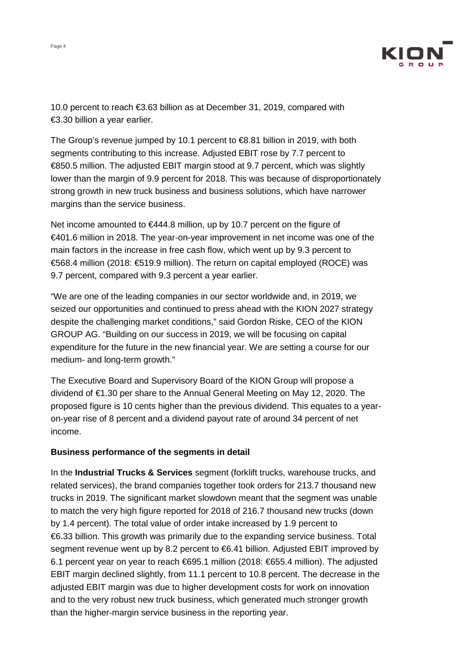

10.0 percent to reach €3.63 billion as at December 31, 2019, compared with €3.30 billion a year earlier.

The Group's revenue jumped by 10.1 percent to €8.81 billion in 2019, with both segments contributing to this increase. Adjusted EBIT rose by 7.7 percent to €850.5 million. The adjusted EBIT margin stood at 9.7 percent, which was slightly lower than the margin of 9.9 percent for 2018. This was because of disproportionately strong growth in new truck business and business solutions, which have narrower margins than the service business.

Net income amounted to  $\epsilon$ 444.8 million, up by 10.7 percent on the figure of €401.6 million in 2018. The year-on-year improvement in net income was one of the main factors in the increase in free cash flow, which went up by 9.3 percent to €568.4 million (2018: €519.9 million). The return on capital employed (ROCE) was 9.7 percent, compared with 9.3 percent a year earlier.

"We are one of the leading companies in our sector worldwide and, in 2019, we seized our opportunities and continued to press ahead with the KION 2027 strategy despite the challenging market conditions," said Gordon Riske, CEO of the KION GROUP AG. "Building on our success in 2019, we will be focusing on capital expenditure for the future in the new financial year. We are setting a course for our medium- and long-term growth."

The Executive Board and Supervisory Board of the KION Group will propose a dividend of €1.30 per share to the Annual General Meeting on May 12, 2020. The proposed figure is 10 cents higher than the previous dividend. This equates to a yearon-year rise of 8 percent and a dividend payout rate of around 34 percent of net income.

#### **Business performance of the segments in detail**

In the **Industrial Trucks & Services** segment (forklift trucks, warehouse trucks, and related services), the brand companies together took orders for 213.7 thousand new trucks in 2019. The significant market slowdown meant that the segment was unable to match the very high figure reported for 2018 of 216.7 thousand new trucks (down by 1.4 percent). The total value of order intake increased by 1.9 percent to €6.33 billion. This growth was primarily due to the expanding service business. Total segment revenue went up by 8.2 percent to €6.41 billion. Adjusted EBIT improved by 6.1 percent year on year to reach €695.1 million (2018: €655.4 million). The adjusted EBIT margin declined slightly, from 11.1 percent to 10.8 percent. The decrease in the adjusted EBIT margin was due to higher development costs for work on innovation and to the very robust new truck business, which generated much stronger growth than the higher-margin service business in the reporting year.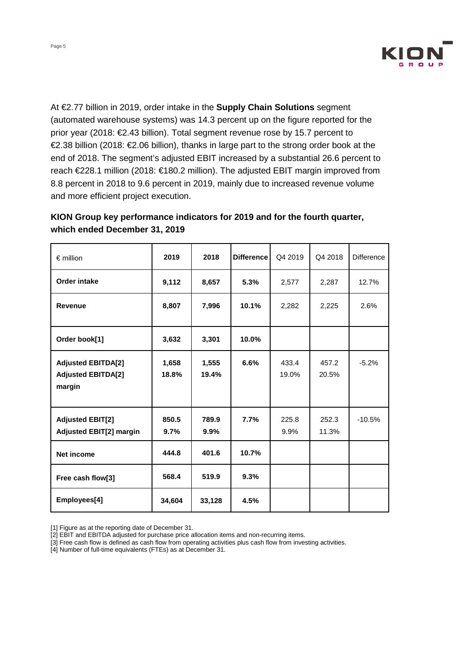

At €2.77 billion in 2019, order intake in the **Supply Chain Solutions** segment (automated warehouse systems) was 14.3 percent up on the figure reported for the prior year (2018: €2.43 billion). Total segment revenue rose by 15.7 percent to €2.38 billion (2018: €2.06 billion), thanks in large part to the strong order book at the end of 2018. The segment's adjusted EBIT increased by a substantial 26.6 percent to reach €228.1 million (2018: €180.2 million). The adjusted EBIT margin improved from 8.8 percent in 2018 to 9.6 percent in 2019, mainly due to increased revenue volume and more efficient project execution.

## **KION Group key performance indicators for 2019 and for the fourth quarter, which ended December 31, 2019**

| $\epsilon$ million                                               | 2019           | 2018           | <b>Difference</b> | Q4 2019        | Q4 2018        | <b>Difference</b> |
|------------------------------------------------------------------|----------------|----------------|-------------------|----------------|----------------|-------------------|
| Order intake                                                     | 9,112          | 8,657          | 5.3%              | 2,577          | 2,287          | 12.7%             |
| <b>Revenue</b>                                                   | 8,807          | 7,996          | 10.1%             | 2,282          | 2,225          | 2.6%              |
| Order book[1]                                                    | 3,632          | 3,301          | 10.0%             |                |                |                   |
| <b>Adjusted EBITDA[2]</b><br><b>Adjusted EBITDA[2]</b><br>margin | 1,658<br>18.8% | 1,555<br>19.4% | 6.6%              | 433.4<br>19.0% | 457.2<br>20.5% | $-5.2%$           |
| <b>Adjusted EBIT[2]</b><br><b>Adjusted EBIT[2] margin</b>        | 850.5<br>9.7%  | 789.9<br>9.9%  | 7.7%              | 225.8<br>9.9%  | 252.3<br>11.3% | $-10.5%$          |
| <b>Net income</b>                                                | 444.8          | 401.6          | 10.7%             |                |                |                   |
| Free cash flow[3]                                                | 568.4          | 519.9          | 9.3%              |                |                |                   |
| Employees[4]                                                     | 34,604         | 33,128         | 4.5%              |                |                |                   |

<sup>[1]</sup> Figure as at the reporting date of December 31.

[4] Number of full-time equivalents (FTEs) as at December 31.

<sup>[2]</sup> EBIT and EBITDA adjusted for purchase price allocation items and non-recurring items.

<sup>[3]</sup> Free cash flow is defined as cash flow from operating activities plus cash flow from investing activities.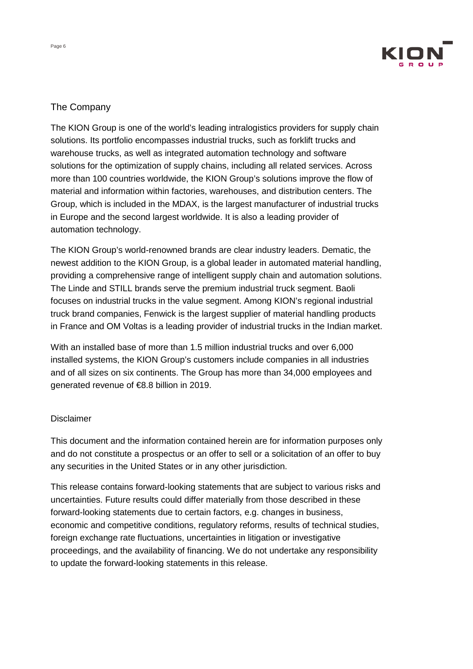

## The Company

The KION Group is one of the world's leading intralogistics providers for supply chain solutions. Its portfolio encompasses industrial trucks, such as forklift trucks and warehouse trucks, as well as integrated automation technology and software solutions for the optimization of supply chains, including all related services. Across more than 100 countries worldwide, the KION Group's solutions improve the flow of material and information within factories, warehouses, and distribution centers. The Group, which is included in the MDAX, is the largest manufacturer of industrial trucks in Europe and the second largest worldwide. It is also a leading provider of automation technology.

The KION Group's world-renowned brands are clear industry leaders. Dematic, the newest addition to the KION Group, is a global leader in automated material handling, providing a comprehensive range of intelligent supply chain and automation solutions. The Linde and STILL brands serve the premium industrial truck segment. Baoli focuses on industrial trucks in the value segment. Among KION's regional industrial truck brand companies, Fenwick is the largest supplier of material handling products in France and OM Voltas is a leading provider of industrial trucks in the Indian market.

With an installed base of more than 1.5 million industrial trucks and over 6,000 installed systems, the KION Group's customers include companies in all industries and of all sizes on six continents. The Group has more than 34,000 employees and generated revenue of €8.8 billion in 2019.

#### **Disclaimer**

This document and the information contained herein are for information purposes only and do not constitute a prospectus or an offer to sell or a solicitation of an offer to buy any securities in the United States or in any other jurisdiction.

This release contains forward-looking statements that are subject to various risks and uncertainties. Future results could differ materially from those described in these forward-looking statements due to certain factors, e.g. changes in business, economic and competitive conditions, regulatory reforms, results of technical studies, foreign exchange rate fluctuations, uncertainties in litigation or investigative proceedings, and the availability of financing. We do not undertake any responsibility to update the forward-looking statements in this release.